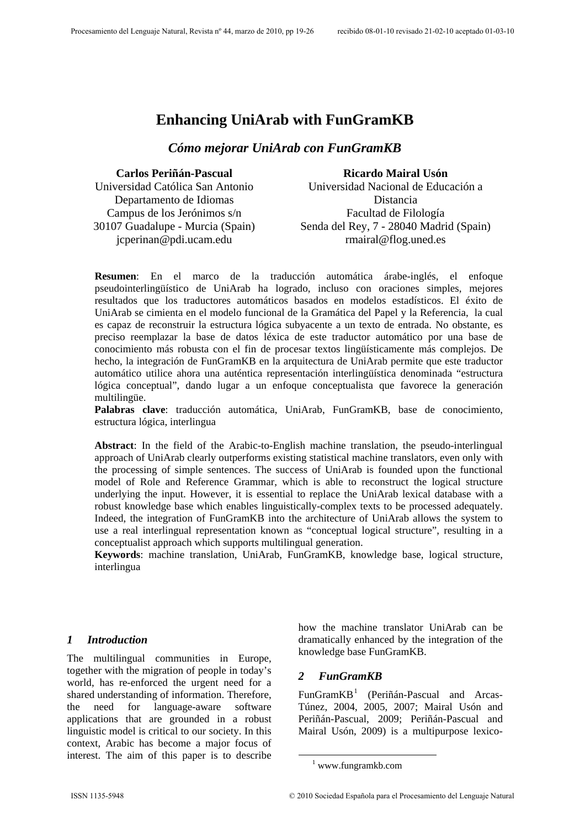# **Enhancing UniArab with FunGramKB**

#### *Cómo mejorar UniArab con FunGramKB*

**Carlos Periñán-Pascual**  Universidad Católica San Antonio

Departamento de Idiomas Campus de los Jerónimos s/n 30107 Guadalupe - Murcia (Spain) jcperinan@pdi.ucam.edu

**Ricardo Mairal Usón**  Universidad Nacional de Educación a Distancia Facultad de Filología Senda del Rey, 7 - 28040 Madrid (Spain) rmairal@flog.uned.es

**Resumen**: En el marco de la traducción automática árabe-inglés, el enfoque pseudointerlingüístico de UniArab ha logrado, incluso con oraciones simples, mejores resultados que los traductores automáticos basados en modelos estadísticos. El éxito de UniArab se cimienta en el modelo funcional de la Gramática del Papel y la Referencia, la cual es capaz de reconstruir la estructura lógica subyacente a un texto de entrada. No obstante, es preciso reemplazar la base de datos léxica de este traductor automático por una base de conocimiento más robusta con el fin de procesar textos lingüísticamente más complejos. De hecho, la integración de FunGramKB en la arquitectura de UniArab permite que este traductor automático utilice ahora una auténtica representación interlingüística denominada "estructura lógica conceptual", dando lugar a un enfoque conceptualista que favorece la generación multilingüe.

**Palabras clave**: traducción automática, UniArab, FunGramKB, base de conocimiento, estructura lógica, interlingua

**Abstract**: In the field of the Arabic-to-English machine translation, the pseudo-interlingual approach of UniArab clearly outperforms existing statistical machine translators, even only with the processing of simple sentences. The success of UniArab is founded upon the functional model of Role and Reference Grammar, which is able to reconstruct the logical structure underlying the input. However, it is essential to replace the UniArab lexical database with a robust knowledge base which enables linguistically-complex texts to be processed adequately. Indeed, the integration of FunGramKB into the architecture of UniArab allows the system to use a real interlingual representation known as "conceptual logical structure", resulting in a conceptualist approach which supports multilingual generation.

**Keywords**: machine translation, UniArab, FunGramKB, knowledge base, logical structure, interlingua

#### *1 Introduction*

<span id="page-0-0"></span>The multilingual communities in Europe, together with the migration of people in today's world, has re-enforced the urgent need for a shared understanding of information. Therefore, the need for language-aware software applications that are grounded in a robust linguistic model is critical to our society. In this context, Arabic has become a major focus of interest. The aim of this paper is to describe how the machine translator UniArab can be dramatically enhanced by the integration of the knowledge base FunGramKB.

#### *2 FunGramKB*

FunGramKB<sup>1</sup> (Periñán-Pascual and Arcas-Túnez, 2004, 2005, 2007; Mairal Usón and Periñán-Pascual, 2009; Periñán-Pascual and Mairal Usón, 2009) is a multipurpose lexico-

 <sup>1</sup> www.fu[ng](#page-0-0)ramkb.com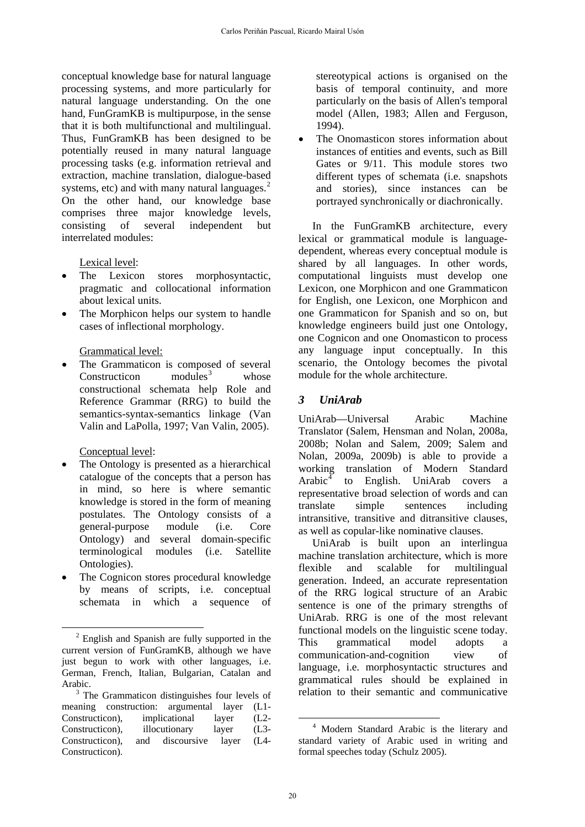conceptual knowledge base for natural language processing systems, and more particularly for natural language understanding. On the one hand, FunGramKB is multipurpose, in the sense that it is both multifunctional and multilingual. Thus, FunGramKB has been designed to be potentially reused in many natural language processing tasks (e.g. information retrieval and extraction, machine translation, dialogue-based systems, etc) and with many natural languages.<sup>[2](#page-1-0)</sup> On the other hand, our knowledge base comprises three major knowledge levels, consisting of several independent but interrelated modules:

Lexical level:

- The Lexicon stores morphosyntactic, pragmatic and collocational information about lexical units.
- The Morphicon helps our system to handle cases of inflectional morphology.

#### Grammatical level:

The Grammaticon is composed of several Constructicon modules<sup>[3](#page-1-1)</sup> whose constructional schemata help Role and Reference Grammar (RRG) to build the semantics-syntax-semantics linkage (Van Valin and LaPolla, 1997; Van Valin, 2005).

Conceptual level:

- The Ontology is presented as a hierarchical catalogue of the concepts that a person has in mind, so here is where semantic knowledge is stored in the form of meaning postulates. The Ontology consists of a general-purpose module (i.e. Core Ontology) and several domain-specific terminological modules (i.e. Satellite Ontologies).
- The Cognicon stores procedural knowledge by means of scripts, i.e. conceptual schemata in which a sequence of

stereotypical actions is organised on the basis of temporal continuity, and more particularly on the basis of Allen's temporal model (Allen, 1983; Allen and Ferguson, 1994).

The Onomasticon stores information about instances of entities and events, such as Bill Gates or 9/11. This module stores two different types of schemata (i.e. snapshots and stories), since instances can be portrayed synchronically or diachronically.

In the FunGramKB architecture, every lexical or grammatical module is languagedependent, whereas every conceptual module is shared by all languages. In other words, computational linguists must develop one Lexicon, one Morphicon and one Grammaticon for English, one Lexicon, one Morphicon and one Grammaticon for Spanish and so on, but knowledge engineers build just one Ontology, one Cognicon and one Onomasticon to process any language input conceptually. In this scenario, the Ontology becomes the pivotal module for the whole architecture.

### *3 UniArab*

UniArab—Universal Arabic Machine Translator (Salem, Hensman and Nolan, 2008a, 2008b; Nolan and Salem, 2009; Salem and Nolan, 2009a, 2009b) is able to provide a working translation of Modern Standard Arabi $c<sup>4</sup>$  $c<sup>4</sup>$  $c<sup>4</sup>$  to English. UniArab covers a representative broad selection of words and can translate simple sentences including intransitive, transitive and ditransitive clauses, as well as copular-like nominative clauses.

UniArab is built upon an interlingua machine translation architecture, which is more flexible and scalable for multilingual generation. Indeed, an accurate representation of the RRG logical structure of an Arabic sentence is one of the primary strengths of UniArab. RRG is one of the most relevant functional models on the linguistic scene today. This grammatical model adopts a communication-and-cognition view of language, i.e. morphosyntactic structures and grammatical rules should be explained in relation to their semantic and communicative

<span id="page-1-0"></span> $\overline{a}$ <sup>2</sup> English and Spanish are fully supported in the current version of FunGramKB, although we have just begun to work with other languages, i.e. German, French, Italian, Bulgarian, Catalan and Arabic.

<span id="page-1-2"></span><span id="page-1-1"></span> $3$  The Grammaticon distinguishes four levels of meaning construction: argumental layer (L1-<br>Construction), implicational layer (L2-Constructicon), implicational layer Constructicon), illocutionary layer (L3- Constructicon), and discoursive layer (L4- Constructicon).

 $\overline{a}$ 4 Modern Standard Arabic is the literary and standard variety of Arabic used in writing and formal speeches today (Schulz 2005).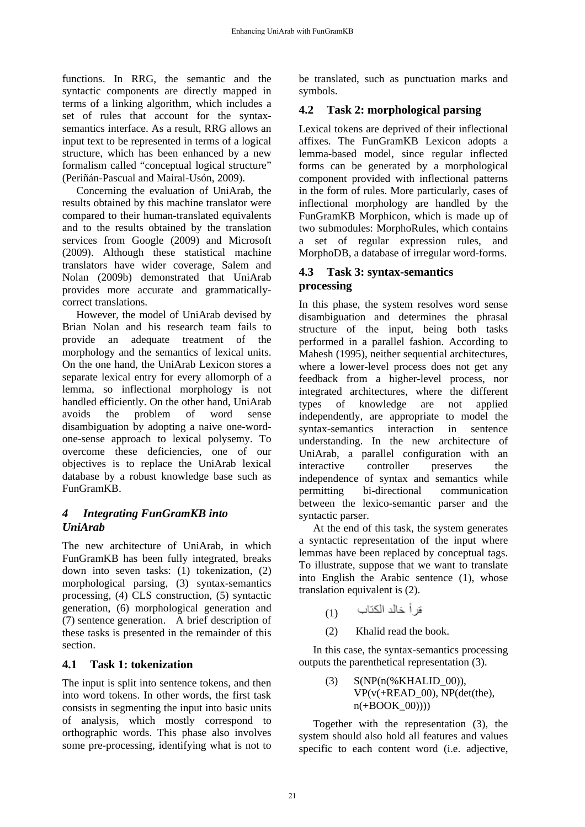functions. In RRG, the semantic and the syntactic components are directly mapped in terms of a linking algorithm, which includes a set of rules that account for the syntaxsemantics interface. As a result, RRG allows an input text to be represented in terms of a logical structure, which has been enhanced by a new formalism called "conceptual logical structure" (Periñán-Pascual and Mairal-Usón, 2009).

 Concerning the evaluation of UniArab, the results obtained by this machine translator were compared to their human-translated equivalents and to the results obtained by the translation services from Google (2009) and Microsoft (2009). Although these statistical machine translators have wider coverage, Salem and Nolan (2009b) demonstrated that UniArab provides more accurate and grammaticallycorrect translations.

However, the model of UniArab devised by Brian Nolan and his research team fails to provide an adequate treatment of the morphology and the semantics of lexical units. On the one hand, the UniArab Lexicon stores a separate lexical entry for every allomorph of a lemma, so inflectional morphology is not handled efficiently. On the other hand, UniArab avoids the problem of word sense disambiguation by adopting a naive one-wordone-sense approach to lexical polysemy. To overcome these deficiencies, one of our objectives is to replace the UniArab lexical database by a robust knowledge base such as FunGramKB.

# *4 Integrating FunGramKB into UniArab*

The new architecture of UniArab, in which FunGramKB has been fully integrated, breaks down into seven tasks: (1) tokenization, (2) morphological parsing, (3) syntax-semantics processing, (4) CLS construction, (5) syntactic generation, (6) morphological generation and (7) sentence generation. A brief description of these tasks is presented in the remainder of this section.

### **4.1 Task 1: tokenization**

The input is split into sentence tokens, and then into word tokens. In other words, the first task consists in segmenting the input into basic units of analysis, which mostly correspond to orthographic words. This phase also involves some pre-processing, identifying what is not to

be translated, such as punctuation marks and symbols.

# **4.2 Task 2: morphological parsing**

Lexical tokens are deprived of their inflectional affixes. The FunGramKB Lexicon adopts a lemma-based model, since regular inflected forms can be generated by a morphological component provided with inflectional patterns in the form of rules. More particularly, cases of inflectional morphology are handled by the FunGramKB Morphicon, which is made up of two submodules: MorphoRules, which contains a set of regular expression rules, and MorphoDB, a database of irregular word-forms.

#### **4.3 Task 3: syntax-semantics processing**

In this phase, the system resolves word sense disambiguation and determines the phrasal structure of the input, being both tasks performed in a parallel fashion. According to Mahesh (1995), neither sequential architectures, where a lower-level process does not get any feedback from a higher-level process, nor integrated architectures, where the different types of knowledge are not applied independently, are appropriate to model the syntax-semantics interaction in sentence understanding. In the new architecture of UniArab, a parallel configuration with an interactive controller preserves the independence of syntax and semantics while permitting bi-directional communication between the lexico-semantic parser and the syntactic parser.

At the end of this task, the system generates a syntactic representation of the input where lemmas have been replaced by conceptual tags. To illustrate, suppose that we want to translate into English the Arabic sentence (1), whose translation equivalent is (2).

- فر أ خالد الكتاب (1)
- (2) Khalid read the book.

In this case, the syntax-semantics processing outputs the parenthetical representation (3).

> $(NP(n(\%KHALID\ 00)),$  $VP(v(+READ_00), NP(det(the)),$  $n(+ \text{BOOK }00))$

Together with the representation (3), the system should also hold all features and values specific to each content word (i.e. adjective,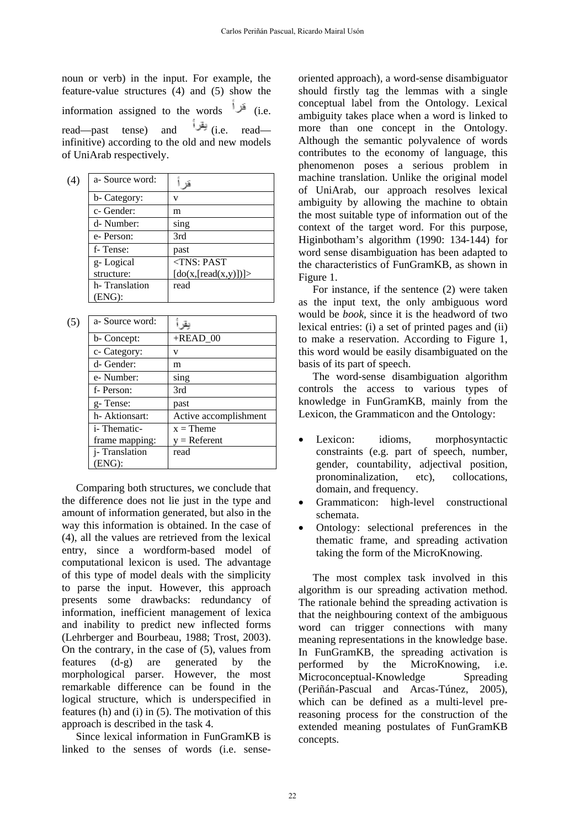noun or verb) in the input. For example, the feature-value structures (4) and (5) show the information assigned to the words  $\frac{1}{2}$  (i.e. read—past tense) and (i.e. read infinitive) according to the old and new models of UniArab respectively.

| (4) | a-Source word: |                      |
|-----|----------------|----------------------|
|     | b- Category:   |                      |
|     | c- Gender:     | m                    |
|     | d- Number:     | sing                 |
|     | e-Person:      | 3rd                  |
|     | f-Tense:       | past                 |
|     | g-Logical      | $<$ TNS: PAST        |
|     | structure:     | [do(x,[read(x,y)])]> |
|     | h-Translation  | read                 |
|     | (ENG):         |                      |

| (5) | a- Source word:     |                       |
|-----|---------------------|-----------------------|
|     | b- Concept:         | $+$ READ_00           |
|     | c- Category:        | v                     |
|     | d- Gender:          | m                     |
|     | e- Number:          | sing                  |
|     | f-Person:           | 3rd                   |
|     | g-Tense:            | past                  |
|     | h- Aktionsart:      | Active accomplishment |
|     | <i>i</i> -Thematic- | $x =$ Theme           |
|     | frame mapping:      | $y =$ Referent        |
|     | j-Translation       | read                  |
|     | (ENG):              |                       |

 Comparing both structures, we conclude that the difference does not lie just in the type and amount of information generated, but also in the way this information is obtained. In the case of (4), all the values are retrieved from the lexical entry, since a wordform-based model of computational lexicon is used. The advantage of this type of model deals with the simplicity to parse the input. However, this approach presents some drawbacks: redundancy of information, inefficient management of lexica and inability to predict new inflected forms (Lehrberger and Bourbeau, 1988; Trost, 2003). On the contrary, in the case of (5), values from features (d-g) are generated by the morphological parser. However, the most remarkable difference can be found in the logical structure, which is underspecified in features (h) and (i) in (5). The motivation of this approach is described in the task 4.

Since lexical information in FunGramKB is linked to the senses of words (i.e. senseoriented approach), a word-sense disambiguator should firstly tag the lemmas with a single conceptual label from the Ontology. Lexical ambiguity takes place when a word is linked to more than one concept in the Ontology. Although the semantic polyvalence of words contributes to the economy of language, this phenomenon poses a serious problem in machine translation. Unlike the original model of UniArab, our approach resolves lexical ambiguity by allowing the machine to obtain the most suitable type of information out of the context of the target word. For this purpose, Higinbotham's algorithm (1990: 134-144) for word sense disambiguation has been adapted to the characteristics of FunGramKB, as shown in Figure 1.

 For instance, if the sentence (2) were taken as the input text, the only ambiguous word would be *book*, since it is the headword of two lexical entries: (i) a set of printed pages and (ii) to make a reservation. According to Figure 1, this word would be easily disambiguated on the basis of its part of speech.

The word-sense disambiguation algorithm controls the access to various types of knowledge in FunGramKB, mainly from the Lexicon, the Grammaticon and the Ontology:

- Lexicon: idioms, morphosyntactic constraints (e.g. part of speech, number, gender, countability, adjectival position, pronominalization, etc), collocations, domain, and frequency.
- Grammaticon: high-level constructional schemata.
- Ontology: selectional preferences in the thematic frame, and spreading activation taking the form of the MicroKnowing.

The most complex task involved in this algorithm is our spreading activation method. The rationale behind the spreading activation is that the neighbouring context of the ambiguous word can trigger connections with many meaning representations in the knowledge base. In FunGramKB, the spreading activation is performed by the MicroKnowing, i.e. Microconceptual-Knowledge Spreading (Periñán-Pascual and Arcas-Túnez, 2005), which can be defined as a multi-level prereasoning process for the construction of the extended meaning postulates of FunGramKB concepts.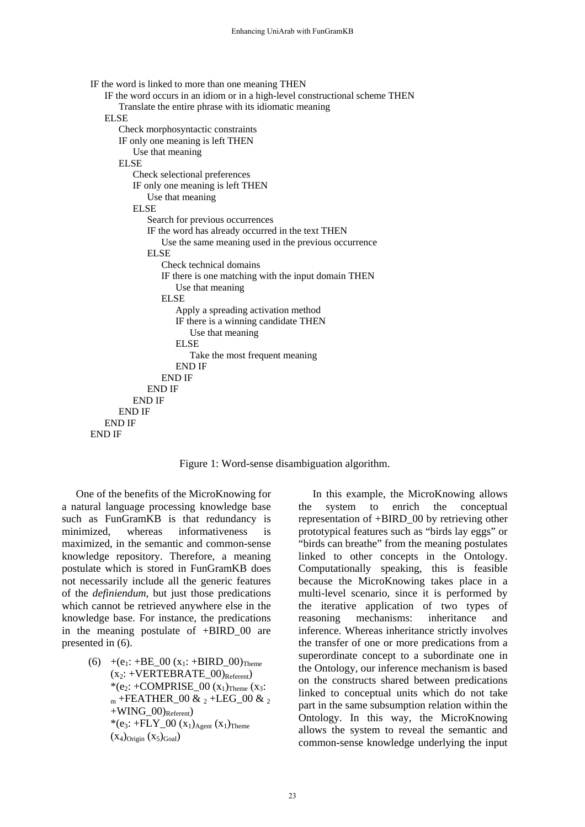```
IF the word is linked to more than one meaning THEN 
   IF the word occurs in an idiom or in a high-level constructional scheme THEN 
        Translate the entire phrase with its idiomatic meaning 
   ELSE 
       Check morphosyntactic constraints 
       IF only one meaning is left THEN 
           Use that meaning 
       ELSE
          Check selectional preferences 
          IF only one meaning is left THEN 
             Use that meaning 
          ELSE 
             Search for previous occurrences 
              IF the word has already occurred in the text THEN 
                 Use the same meaning used in the previous occurrence 
              ELSE 
                 Check technical domains 
                 IF there is one matching with the input domain THEN 
                     Use that meaning 
                 ELSE 
                     Apply a spreading activation method 
                     IF there is a winning candidate THEN 
                        Use that meaning 
                     ELSE 
                        Take the most frequent meaning 
                     END IF 
                 END IF 
             END IF 
          END IF 
      END IF 
   END IF 
END IF
```
Figure 1: Word-sense disambiguation algorithm.

One of the benefits of the MicroKnowing for a natural language processing knowledge base such as FunGramKB is that redundancy is minimized, whereas informativeness is maximized, in the semantic and common-sense knowledge repository. Therefore, a meaning postulate which is stored in FunGramKB does not necessarily include all the generic features of the *definiendum*, but just those predications which cannot be retrieved anywhere else in the knowledge base. For instance, the predications in the meaning postulate of +BIRD\_00 are presented in (6).

> (6)  $+(e_1: +BE_00 (x_1: +BIRD_00)_{\text{Theme}})$  $(x_2: +VERTEBRATE_00)_{Referent})$ \*(e<sub>2</sub>: +COMPRISE\_00  $(x_1)$ <sub>Theme</sub>  $(x_3)$ :  $_{\text{m}}$  +FEATHER\_00 &  $_{2}$  +LEG\_00 &  $_{2}$  $+WING_00)$ <sub>Referent</sub>) \*(e<sub>3</sub>: +FLY\_00  $(x_1)_{Agent} (x_1)_{Theme}$  $(x_4)$ Origin  $(x_5)$ Goal)

In this example, the MicroKnowing allows the system to enrich the conceptual representation of +BIRD\_00 by retrieving other prototypical features such as "birds lay eggs" or "birds can breathe" from the meaning postulates linked to other concepts in the Ontology. Computationally speaking, this is feasible because the MicroKnowing takes place in a multi-level scenario, since it is performed by the iterative application of two types of reasoning mechanisms: inheritance and inference. Whereas inheritance strictly involves the transfer of one or more predications from a superordinate concept to a subordinate one in the Ontology, our inference mechanism is based on the constructs shared between predications linked to conceptual units which do not take part in the same subsumption relation within the Ontology. In this way, the MicroKnowing allows the system to reveal the semantic and common-sense knowledge underlying the input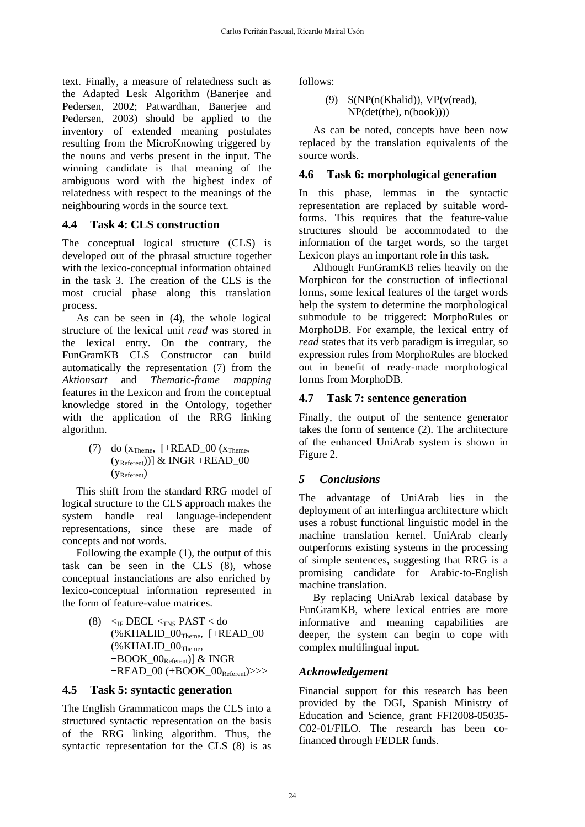text. Finally, a measure of relatedness such as the Adapted Lesk Algorithm (Banerjee and Pedersen, 2002; Patwardhan, Banerjee and Pedersen, 2003) should be applied to the inventory of extended meaning postulates resulting from the MicroKnowing triggered by the nouns and verbs present in the input. The winning candidate is that meaning of the ambiguous word with the highest index of relatedness with respect to the meanings of the neighbouring words in the source text.

### **4.4 Task 4: CLS construction**

The conceptual logical structure (CLS) is developed out of the phrasal structure together with the lexico-conceptual information obtained in the task 3. The creation of the CLS is the most crucial phase along this translation process.

As can be seen in (4), the whole logical structure of the lexical unit *read* was stored in the lexical entry. On the contrary, the FunGramKB CLS Constructor can build automatically the representation (7) from the *Aktionsart* and *Thematic-frame mapping* features in the Lexicon and from the conceptual knowledge stored in the Ontology, together with the application of the RRG linking algorithm.

> (7) do  $(x_{Theme}, \text{F+READ_00 (x_{Theme},$  $(y_{\text{Referent}}))$ ] & INGR +READ\_00  $(V_{Referent})$

This shift from the standard RRG model of logical structure to the CLS approach makes the system handle real language-independent representations, since these are made of concepts and not words.

Following the example (1), the output of this task can be seen in the CLS (8), whose conceptual instanciations are also enriched by lexico-conceptual information represented in the form of feature-value matrices.

> (8)  $\leq$ <sub>IF</sub> DECL  $\leq$ <sub>INS</sub> PAST  $<$  do  $(\%KHALID$   $00$ <sub>Theme</sub>,  $[+READ$  00  $(\%KHALID_00_{Theme},$  $+$ BOOK\_00<sub>Referent</sub>)] & INGR  $+READ_00 (+BOOK_00_{Referent})>>$

#### **4.5 Task 5: syntactic generation**

The English Grammaticon maps the CLS into a structured syntactic representation on the basis of the RRG linking algorithm. Thus, the syntactic representation for the CLS (8) is as follows:

```
(9) S(NP(n(Khalid)), VP(v(read), 
     NP(det(the), n(book))))
```
 As can be noted, concepts have been now replaced by the translation equivalents of the source words.

## **4.6 Task 6: morphological generation**

In this phase, lemmas in the syntactic representation are replaced by suitable wordforms. This requires that the feature-value structures should be accommodated to the information of the target words, so the target Lexicon plays an important role in this task.

Although FunGramKB relies heavily on the Morphicon for the construction of inflectional forms, some lexical features of the target words help the system to determine the morphological submodule to be triggered: MorphoRules or MorphoDB. For example, the lexical entry of *read* states that its verb paradigm is irregular, so expression rules from MorphoRules are blocked out in benefit of ready-made morphological forms from MorphoDB.

## **4.7 Task 7: sentence generation**

Finally, the output of the sentence generator takes the form of sentence (2). The architecture of the enhanced UniArab system is shown in Figure 2.

# *5 Conclusions*

The advantage of UniArab lies in the deployment of an interlingua architecture which uses a robust functional linguistic model in the machine translation kernel. UniArab clearly outperforms existing systems in the processing of simple sentences, suggesting that RRG is a promising candidate for Arabic-to-English machine translation.

 By replacing UniArab lexical database by FunGramKB, where lexical entries are more informative and meaning capabilities are deeper, the system can begin to cope with complex multilingual input.

### *Acknowledgement*

Financial support for this research has been provided by the DGI, Spanish Ministry of Education and Science, grant FFI2008-05035- C02-01/FILO. The research has been cofinanced through FEDER funds.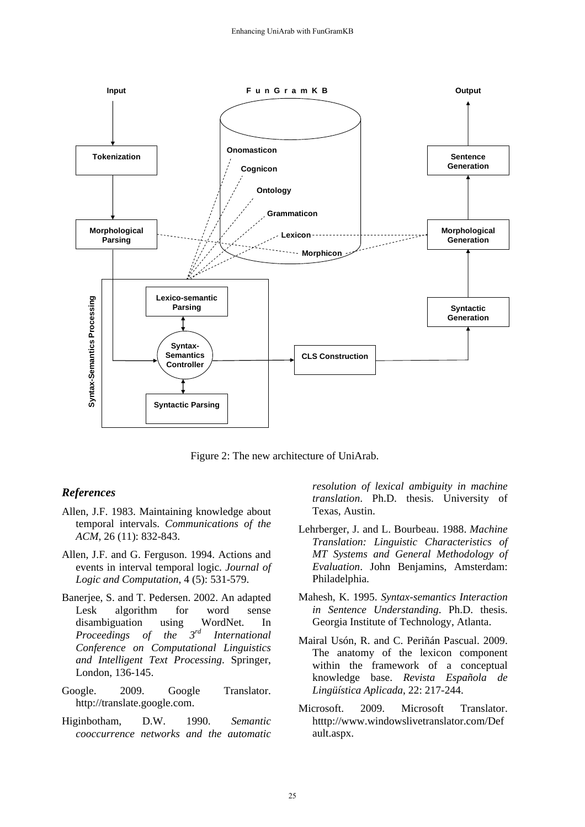

Figure 2: The new architecture of UniArab.

#### *References*

- Allen, J.F. 1983. Maintaining knowledge about temporal intervals. *Communications of the ACM*, 26 (11): 832-843.
- Allen, J.F. and G. Ferguson. 1994. Actions and events in interval temporal logic. *Journal of Logic and Computation*, 4 (5): 531-579.
- Banerjee, S. and T. Pedersen. 2002. An adapted Lesk algorithm for word sense disambiguation using WordNet. In<br>*Proceedings of the*  $3^{rd}$  International *Proceedings of the 3rd International Conference on Computational Linguistics and Intelligent Text Processing*. Springer, London, 136-145.
- Google. 2009. Google Translator. http://translate.google.com.
- Higinbotham, D.W. 1990. *Semantic cooccurrence networks and the automatic*

*resolution of lexical ambiguity in machine translation*. Ph.D. thesis. University of Texas, Austin.

- Lehrberger, J. and L. Bourbeau. 1988. *Machine Translation: Linguistic Characteristics of MT Systems and General Methodology of Evaluation*. John Benjamins, Amsterdam: Philadelphia.
- Mahesh, K. 1995. *Syntax-semantics Interaction in Sentence Understanding*. Ph.D. thesis. Georgia Institute of Technology, Atlanta.
- Mairal Usón, R. and C. Periñán Pascual. 2009. The anatomy of the lexicon component within the framework of a conceptual knowledge base. *Revista Española de Lingüística Aplicada*, 22: 217-244.
- Microsoft. 2009. Microsoft Translator. htttp://www.windowslivetranslator.com/Def ault.aspx.